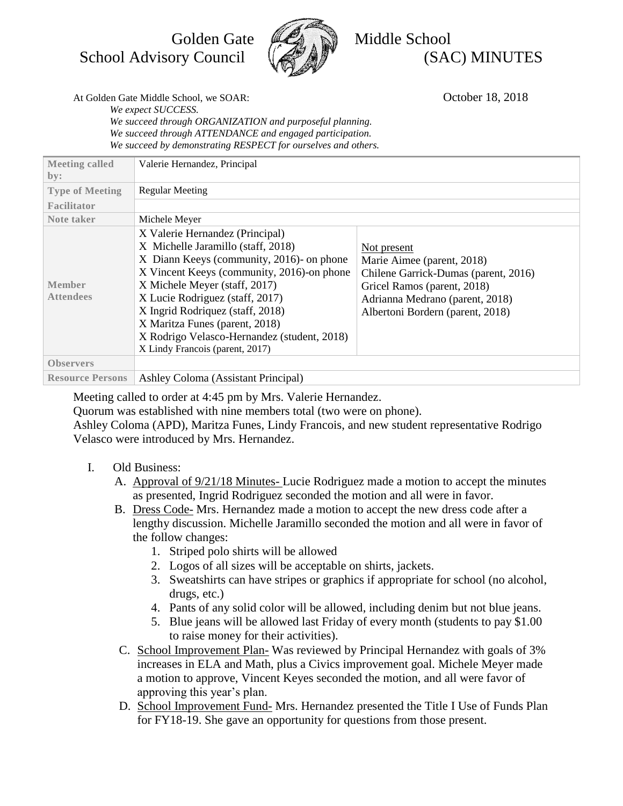Golden Gate **Medicine** Middle School



School Advisory Council  $\left(\sqrt{\frac{3}{2}}\right)$  (SAC) MINUTES

At Golden Gate Middle School, we SOAR: Colores 18, 2018

*We expect SUCCESS. We succeed through ORGANIZATION and purposeful planning. We succeed through ATTENDANCE and engaged participation. We succeed by demonstrating RESPECT for ourselves and others.*

| <b>Meeting called</b>             | Valerie Hernandez, Principal                                                                                                                                                                                                                                                                                                                                                                 |                                                                                                                                                                                         |
|-----------------------------------|----------------------------------------------------------------------------------------------------------------------------------------------------------------------------------------------------------------------------------------------------------------------------------------------------------------------------------------------------------------------------------------------|-----------------------------------------------------------------------------------------------------------------------------------------------------------------------------------------|
| by:<br><b>Type of Meeting</b>     | <b>Regular Meeting</b>                                                                                                                                                                                                                                                                                                                                                                       |                                                                                                                                                                                         |
| Facilitator                       |                                                                                                                                                                                                                                                                                                                                                                                              |                                                                                                                                                                                         |
| Note taker                        | Michele Meyer                                                                                                                                                                                                                                                                                                                                                                                |                                                                                                                                                                                         |
| <b>Member</b><br><b>Attendees</b> | X Valerie Hernandez (Principal)<br>X Michelle Jaramillo (staff, 2018)<br>X Diann Keeys (community, 2016)- on phone<br>X Vincent Keeys (community, 2016)-on phone<br>X Michele Meyer (staff, 2017)<br>X Lucie Rodriguez (staff, 2017)<br>X Ingrid Rodriquez (staff, 2018)<br>X Maritza Funes (parent, 2018)<br>X Rodrigo Velasco-Hernandez (student, 2018)<br>X Lindy Francois (parent, 2017) | Not present<br>Marie Aimee (parent, 2018)<br>Chilene Garrick-Dumas (parent, 2016)<br>Gricel Ramos (parent, 2018)<br>Adrianna Medrano (parent, 2018)<br>Albertoni Bordern (parent, 2018) |
| <b>Observers</b>                  |                                                                                                                                                                                                                                                                                                                                                                                              |                                                                                                                                                                                         |
| <b>Resource Persons</b>           | Ashley Coloma (Assistant Principal)                                                                                                                                                                                                                                                                                                                                                          |                                                                                                                                                                                         |

Meeting called to order at 4:45 pm by Mrs. Valerie Hernandez.

Quorum was established with nine members total (two were on phone).

Ashley Coloma (APD), Maritza Funes, Lindy Francois, and new student representative Rodrigo Velasco were introduced by Mrs. Hernandez.

- I. Old Business:
	- A. Approval of 9/21/18 Minutes- Lucie Rodriguez made a motion to accept the minutes as presented, Ingrid Rodriguez seconded the motion and all were in favor.
	- B. Dress Code- Mrs. Hernandez made a motion to accept the new dress code after a lengthy discussion. Michelle Jaramillo seconded the motion and all were in favor of the follow changes:
		- 1. Striped polo shirts will be allowed
		- 2. Logos of all sizes will be acceptable on shirts, jackets.
		- 3. Sweatshirts can have stripes or graphics if appropriate for school (no alcohol, drugs, etc.)
		- 4. Pants of any solid color will be allowed, including denim but not blue jeans.
		- 5. Blue jeans will be allowed last Friday of every month (students to pay \$1.00 to raise money for their activities).
	- C. School Improvement Plan- Was reviewed by Principal Hernandez with goals of 3% increases in ELA and Math, plus a Civics improvement goal. Michele Meyer made a motion to approve, Vincent Keyes seconded the motion, and all were favor of approving this year's plan.
	- D. School Improvement Fund- Mrs. Hernandez presented the Title I Use of Funds Plan for FY18-19. She gave an opportunity for questions from those present.